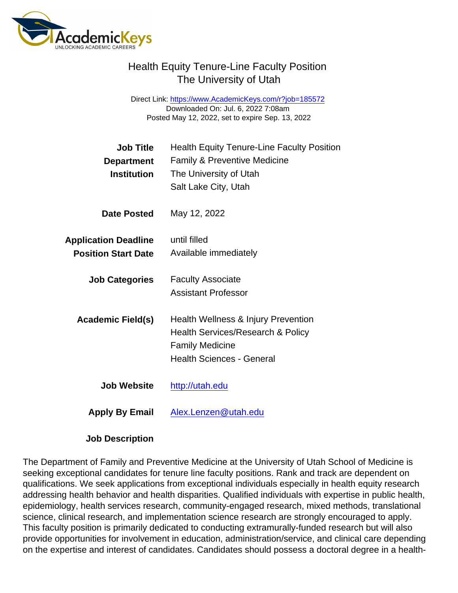Direct Link: <https://www.AcademicKeys.com/r?job=185572> Downloaded On: Jul. 6, 2022 7:08am Posted May 12, 2022, set to expire Sep. 13, 2022

| Job Title<br>Department<br><b>Institution</b>             | <b>Health Equity Tenure-Line Faculty Position</b><br><b>Family &amp; Preventive Medicine</b><br>The University of Utah<br>Salt Lake City, Utah |
|-----------------------------------------------------------|------------------------------------------------------------------------------------------------------------------------------------------------|
| Date Posted                                               | May 12, 2022                                                                                                                                   |
| <b>Application Deadline</b><br><b>Position Start Date</b> | until filled<br>Available immediately                                                                                                          |
| <b>Job Categories</b>                                     | <b>Faculty Associate</b><br><b>Assistant Professor</b>                                                                                         |
| Academic Field(s)                                         | Health Wellness & Injury Prevention<br>Health Services/Research & Policy<br><b>Family Medicine</b><br><b>Health Sciences - General</b>         |
| Job Website                                               | http://utah.edu                                                                                                                                |
| Apply By Email                                            | Alex.Lenzen@utah.edu                                                                                                                           |

Job Description

The Department of Family and Preventive Medicine at the University of Utah School of Medicine is seeking exceptional candidates for tenure line faculty positions. Rank and track are dependent on qualifications. We seek applications from exceptional individuals especially in health equity research addressing health behavior and health disparities. Qualified individuals with expertise in public health, epidemiology, health services research, community-engaged research, mixed methods, translational science, clinical research, and implementation science research are strongly encouraged to apply. This faculty position is primarily dedicated to conducting extramurally-funded research but will also provide opportunities for involvement in education, administration/service, and clinical care depending on the expertise and interest of candidates. Candidates should possess a doctoral degree in a health-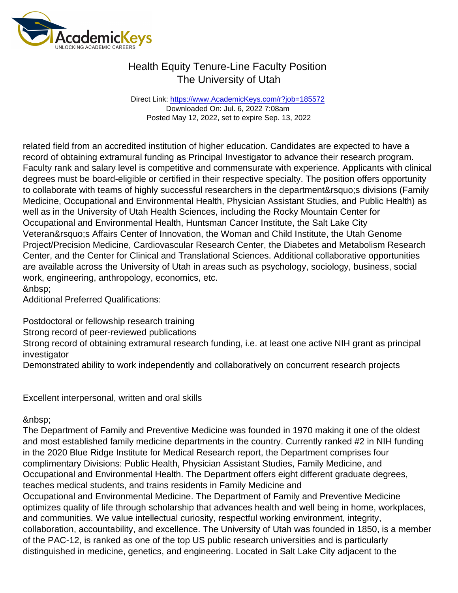Direct Link: <https://www.AcademicKeys.com/r?job=185572> Downloaded On: Jul. 6, 2022 7:08am Posted May 12, 2022, set to expire Sep. 13, 2022

related field from an accredited institution of higher education. Candidates are expected to have a record of obtaining extramural funding as Principal Investigator to advance their research program. Faculty rank and salary level is competitive and commensurate with experience. Applicants with clinical degrees must be board-eligible or certified in their respective specialty. The position offers opportunity to collaborate with teams of highly successful researchers in the department's divisions (Family Medicine, Occupational and Environmental Health, Physician Assistant Studies, and Public Health) as well as in the University of Utah Health Sciences, including the Rocky Mountain Center for Occupational and Environmental Health, Huntsman Cancer Institute, the Salt Lake City Veteran's Affairs Center of Innovation, the Woman and Child Institute, the Utah Genome Project/Precision Medicine, Cardiovascular Research Center, the Diabetes and Metabolism Research Center, and the Center for Clinical and Translational Sciences. Additional collaborative opportunities are available across the University of Utah in areas such as psychology, sociology, business, social work, engineering, anthropology, economics, etc. &nbsp:

Additional Preferred Qualifications:

Postdoctoral or fellowship research training

Strong record of peer-reviewed publications

Strong record of obtaining extramural research funding, i.e. at least one active NIH grant as principal investigator

Demonstrated ability to work independently and collaboratively on concurrent research projects

Excellent interpersonal, written and oral skills

The Department of Family and Preventive Medicine was founded in 1970 making it one of the oldest and most established family medicine departments in the country. Currently ranked #2 in NIH funding in the 2020 Blue Ridge Institute for Medical Research report, the Department comprises four complimentary Divisions: Public Health, Physician Assistant Studies, Family Medicine, and Occupational and Environmental Health. The Department offers eight different graduate degrees, teaches medical students, and trains residents in Family Medicine and Occupational and Environmental Medicine. The Department of Family and Preventive Medicine optimizes quality of life through scholarship that advances health and well being in home, workplaces, and communities. We value intellectual curiosity, respectful working environment, integrity, collaboration, accountability, and excellence. The University of Utah was founded in 1850, is a member of the PAC-12, is ranked as one of the top US public research universities and is particularly distinguished in medicine, genetics, and engineering. Located in Salt Lake City adjacent to the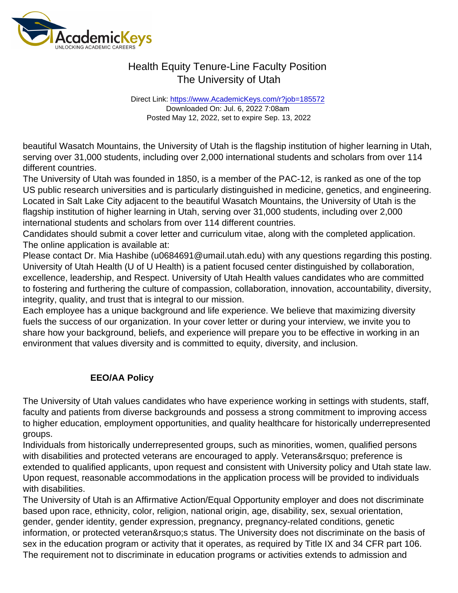Direct Link: <https://www.AcademicKeys.com/r?job=185572> Downloaded On: Jul. 6, 2022 7:08am Posted May 12, 2022, set to expire Sep. 13, 2022

beautiful Wasatch Mountains, the University of Utah is the flagship institution of higher learning in Utah, serving over 31,000 students, including over 2,000 international students and scholars from over 114 different countries.

The University of Utah was founded in 1850, is a member of the PAC-12, is ranked as one of the top US public research universities and is particularly distinguished in medicine, genetics, and engineering. Located in Salt Lake City adjacent to the beautiful Wasatch Mountains, the University of Utah is the flagship institution of higher learning in Utah, serving over 31,000 students, including over 2,000 international students and scholars from over 114 different countries.

Candidates should submit a cover letter and curriculum vitae, along with the completed application. The online application is available at:

Please contact Dr. Mia Hashibe (u0684691@umail.utah.edu) with any questions regarding this posting. University of Utah Health (U of U Health) is a patient focused center distinguished by collaboration, excellence, leadership, and Respect. University of Utah Health values candidates who are committed to fostering and furthering the culture of compassion, collaboration, innovation, accountability, diversity, integrity, quality, and trust that is integral to our mission.

Each employee has a unique background and life experience. We believe that maximizing diversity fuels the success of our organization. In your cover letter or during your interview, we invite you to share how your background, beliefs, and experience will prepare you to be effective in working in an environment that values diversity and is committed to equity, diversity, and inclusion.

#### EEO/AA Policy

The University of Utah values candidates who have experience working in settings with students, staff, faculty and patients from diverse backgrounds and possess a strong commitment to improving access to higher education, employment opportunities, and quality healthcare for historically underrepresented groups.

Individuals from historically underrepresented groups, such as minorities, women, qualified persons with disabilities and protected veterans are encouraged to apply. Veterans' preference is extended to qualified applicants, upon request and consistent with University policy and Utah state law. Upon request, reasonable accommodations in the application process will be provided to individuals with disabilities.

The University of Utah is an Affirmative Action/Equal Opportunity employer and does not discriminate based upon race, ethnicity, color, religion, national origin, age, disability, sex, sexual orientation, gender, gender identity, gender expression, pregnancy, pregnancy-related conditions, genetic information, or protected veteran' sstatus. The University does not discriminate on the basis of sex in the education program or activity that it operates, as required by Title IX and 34 CFR part 106. The requirement not to discriminate in education programs or activities extends to admission and